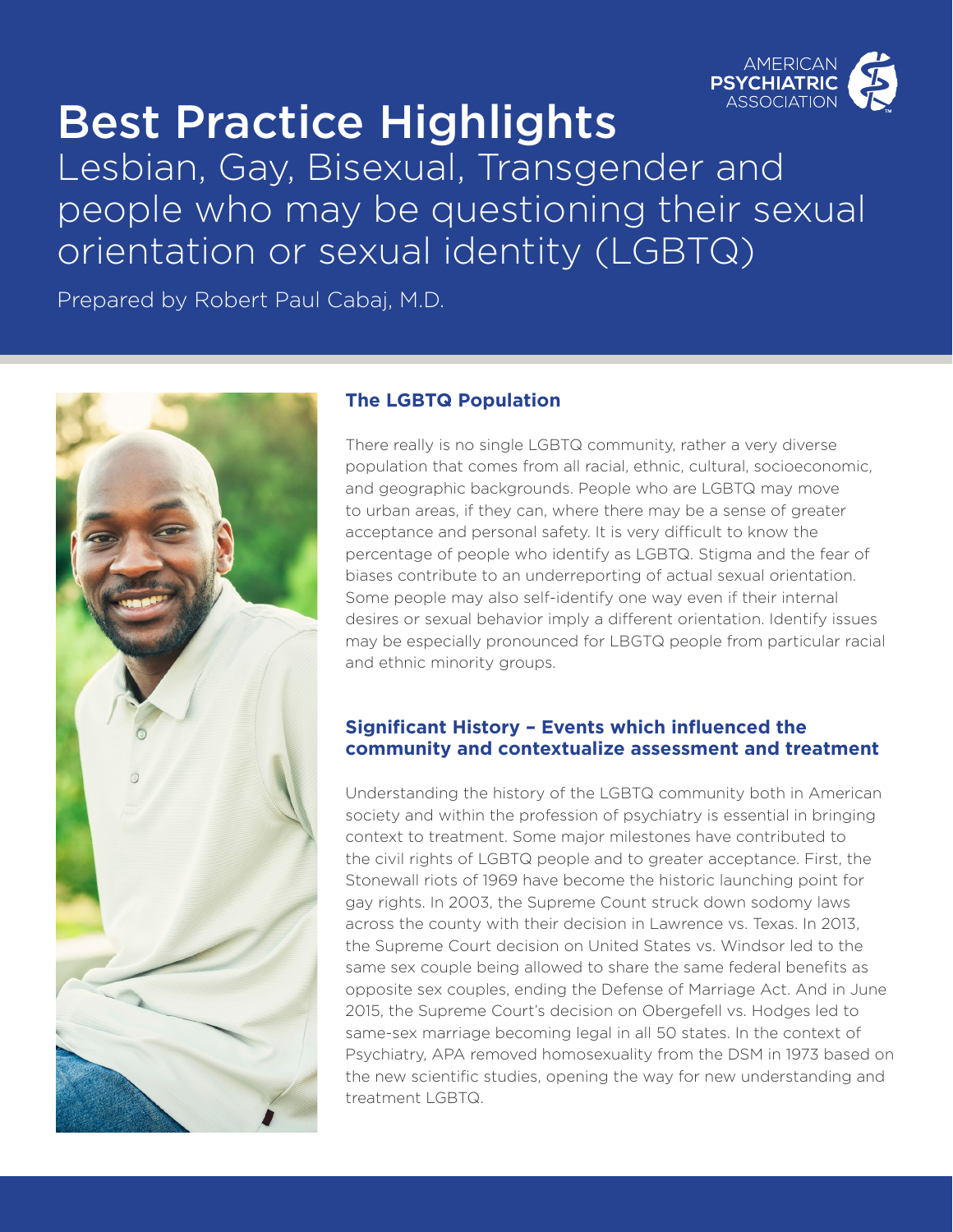

# Best Practice Highlights

Lesbian, Gay, Bisexual, Transgender and people who may be questioning their sexual orientation or sexual identity (LGBTQ)

Prepared by Robert Paul Cabaj, M.D.



### **The LGBTQ Population**

There really is no single LGBTQ community, rather a very diverse population that comes from all racial, ethnic, cultural, socioeconomic, and geographic backgrounds. People who are LGBTQ may move to urban areas, if they can, where there may be a sense of greater acceptance and personal safety. It is very difficult to know the percentage of people who identify as LGBTQ. Stigma and the fear of biases contribute to an underreporting of actual sexual orientation. Some people may also self-identify one way even if their internal desires or sexual behavior imply a different orientation. Identify issues may be especially pronounced for LBGTQ people from particular racial and ethnic minority groups.

#### **Significant History – Events which influenced the community and contextualize assessment and treatment**

Understanding the history of the LGBTQ community both in American society and within the profession of psychiatry is essential in bringing context to treatment. Some major milestones have contributed to the civil rights of LGBTQ people and to greater acceptance. First, the Stonewall riots of 1969 have become the historic launching point for gay rights. In 2003, the Supreme Count struck down sodomy laws across the county with their decision in Lawrence vs. Texas. In 2013, the Supreme Court decision on United States vs. Windsor led to the same sex couple being allowed to share the same federal benefits as opposite sex couples, ending the Defense of Marriage Act. And in June 2015, the Supreme Court's decision on Obergefell vs. Hodges led to same-sex marriage becoming legal in all 50 states. In the context of Psychiatry, APA removed homosexuality from the DSM in 1973 based on the new scientific studies, opening the way for new understanding and treatment LGBTQ.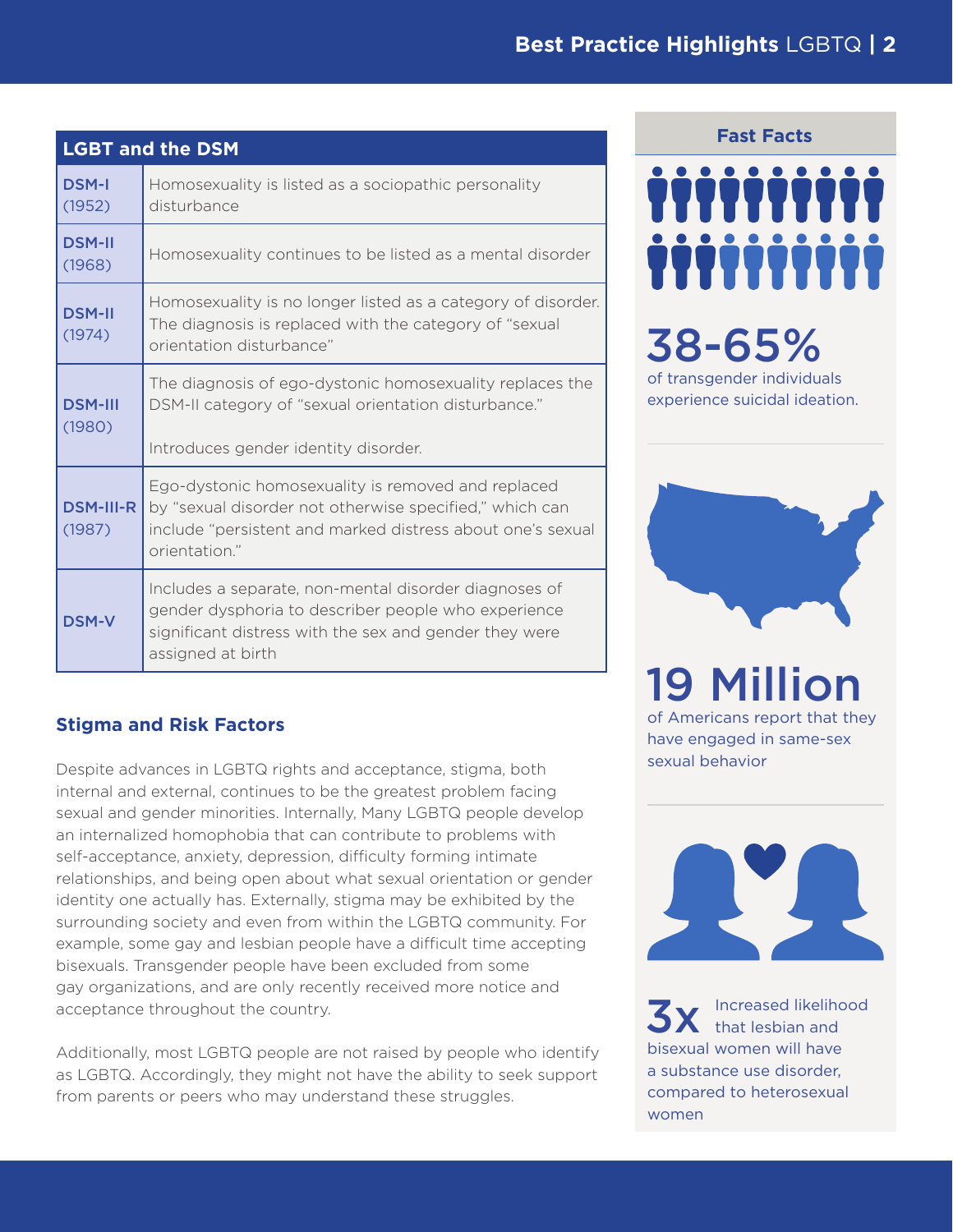| <b>LGBT and the DSM</b>    |                                                                                                                                                                                              |
|----------------------------|----------------------------------------------------------------------------------------------------------------------------------------------------------------------------------------------|
| <b>DSM-I</b><br>(1952)     | Homosexuality is listed as a sociopathic personality<br>disturbance                                                                                                                          |
| <b>DSM-II</b><br>(1968)    | Homosexuality continues to be listed as a mental disorder                                                                                                                                    |
| <b>DSM-II</b><br>(1974)    | Homosexuality is no longer listed as a category of disorder.<br>The diagnosis is replaced with the category of "sexual<br>orientation disturbance"                                           |
| <b>DSM-III</b><br>(1980)   | The diagnosis of ego-dystonic homosexuality replaces the<br>DSM-II category of "sexual orientation disturbance."<br>Introduces gender identity disorder.                                     |
| <b>DSM-III-R</b><br>(1987) | Ego-dystonic homosexuality is removed and replaced<br>by "sexual disorder not otherwise specified," which can<br>include "persistent and marked distress about one's sexual<br>orientation." |
| <b>DSM-V</b>               | Includes a separate, non-mental disorder diagnoses of<br>gender dysphoria to describer people who experience<br>significant distress with the sex and gender they were<br>assigned at birth  |

# **Stigma and Risk Factors**

Despite advances in LGBTQ rights and acceptance, stigma, both internal and external, continues to be the greatest problem facing sexual and gender minorities. Internally, Many LGBTQ people develop an internalized homophobia that can contribute to problems with self-acceptance, anxiety, depression, difficulty forming intimate relationships, and being open about what sexual orientation or gender identity one actually has. Externally, stigma may be exhibited by the surrounding society and even from within the LGBTQ community. For example, some gay and lesbian people have a difficult time accepting bisexuals. Transgender people have been excluded from some gay organizations, and are only recently received more notice and acceptance throughout the country.

Additionally, most LGBTQ people are not raised by people who identify as LGBTQ. Accordingly, they might not have the ability to seek support from parents or peers who may understand these struggles.

#### **Fast Facts**



# 38-65%

of transgender individuals experience suicidal ideation.



# 19 Million

of Americans report that they have engaged in same-sex sexual behavior



Increased likelihood that lesbian and bisexual women will have a substance use disorder, compared to heterosexual women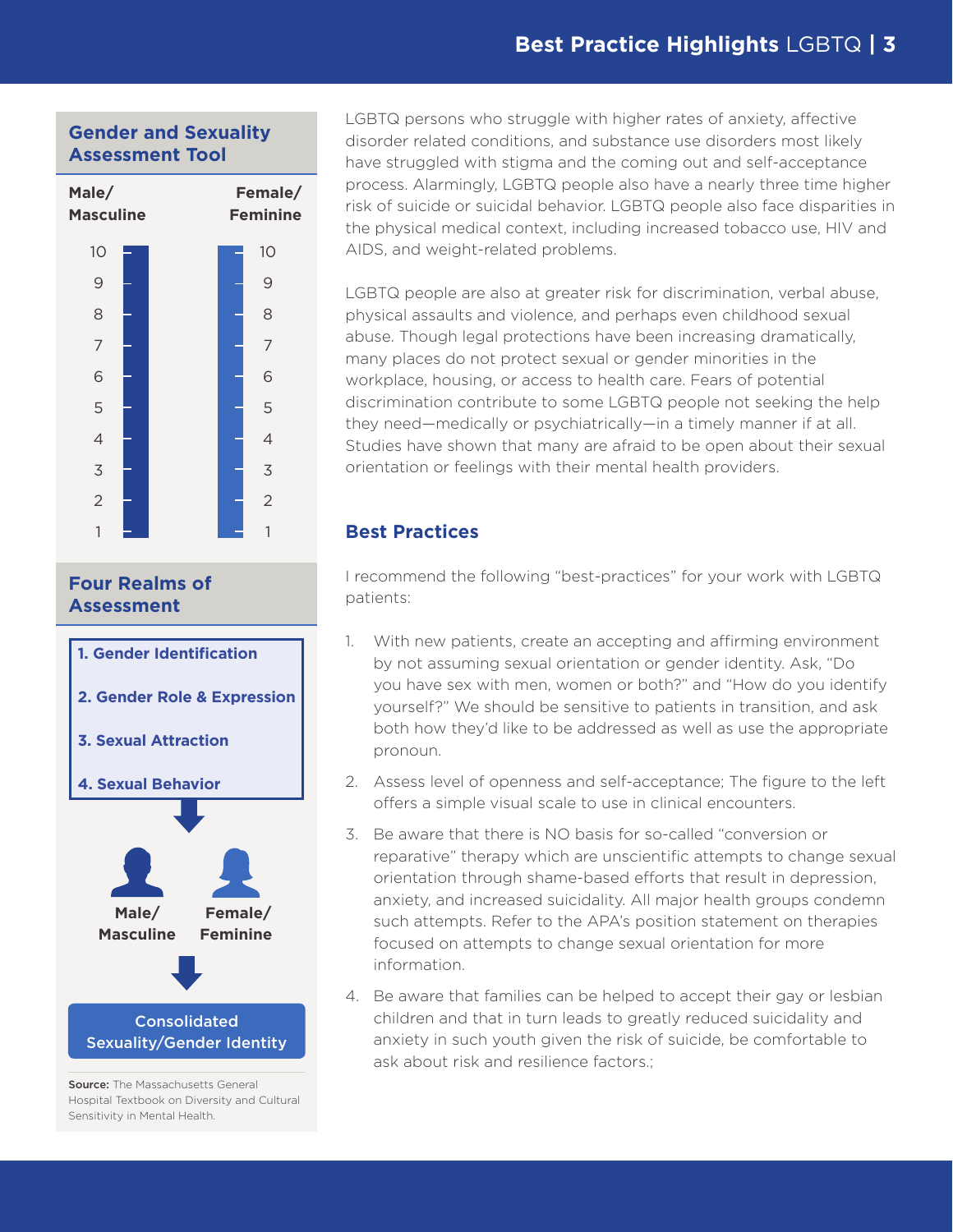## **Gender and Sexuality Assessment Tool**



#### **Four Realms of Assessment**



Source: The Massachusetts General Hospital Textbook on Diversity and Cultural Sensitivity in Mental Health.

LGBTQ persons who struggle with higher rates of anxiety, affective disorder related conditions, and substance use disorders most likely have struggled with stigma and the coming out and self-acceptance process. Alarmingly, LGBTQ people also have a nearly three time higher risk of suicide or suicidal behavior. LGBTQ people also face disparities in the physical medical context, including increased tobacco use, HIV and AIDS, and weight-related problems.

LGBTQ people are also at greater risk for discrimination, verbal abuse, physical assaults and violence, and perhaps even childhood sexual abuse. Though legal protections have been increasing dramatically, many places do not protect sexual or gender minorities in the workplace, housing, or access to health care. Fears of potential discrimination contribute to some LGBTQ people not seeking the help they need—medically or psychiatrically—in a timely manner if at all. Studies have shown that many are afraid to be open about their sexual orientation or feelings with their mental health providers.

#### **Best Practices**

I recommend the following "best-practices" for your work with LGBTQ patients:

- 1. With new patients, create an accepting and affirming environment by not assuming sexual orientation or gender identity. Ask, "Do you have sex with men, women or both?" and "How do you identify yourself?" We should be sensitive to patients in transition, and ask both how they'd like to be addressed as well as use the appropriate pronoun.
- 2. Assess level of openness and self-acceptance; The figure to the left offers a simple visual scale to use in clinical encounters.
- 3. Be aware that there is NO basis for so-called "conversion or reparative" therapy which are unscientific attempts to change sexual orientation through shame-based efforts that result in depression, anxiety, and increased suicidality. All major health groups condemn such attempts. Refer to the APA's position statement on therapies focused on attempts to change sexual orientation for more information.
- 4. Be aware that families can be helped to accept their gay or lesbian children and that in turn leads to greatly reduced suicidality and anxiety in such youth given the risk of suicide, be comfortable to ask about risk and resilience factors.;